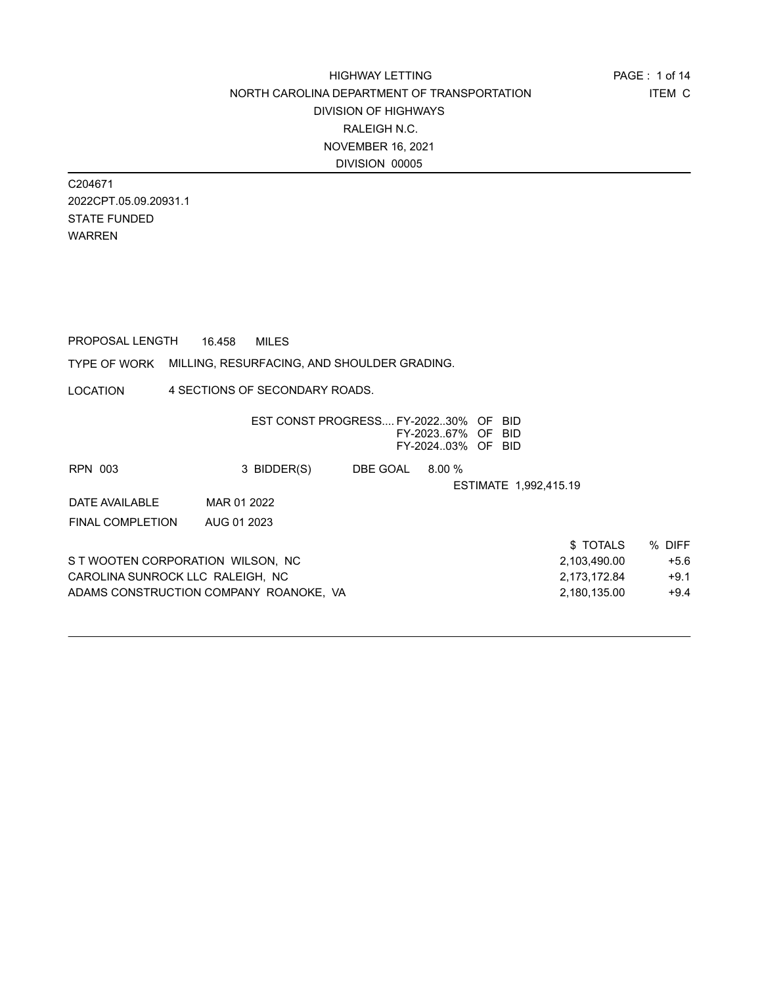C204671 2022CPT.05.09.20931.1 STATE FUNDED WARREN

PROPOSAL LENGTH 16.458 MILES

TYPE OF WORK MILLING, RESURFACING, AND SHOULDER GRADING.

LOCATION 4 SECTIONS OF SECONDARY ROADS.

|                                   | EST CONST PROGRESS FY-202230% OF BID   |          | FY-202367% OF BID<br>FY-202403% OF BID |                       |              |        |
|-----------------------------------|----------------------------------------|----------|----------------------------------------|-----------------------|--------------|--------|
| RPN 003                           | 3 BIDDER(S)                            | DBE GOAL | $8.00\%$                               |                       |              |        |
|                                   |                                        |          |                                        | ESTIMATE 1,992,415.19 |              |        |
| DATE AVAILABLE                    | MAR 01 2022                            |          |                                        |                       |              |        |
| <b>FINAL COMPLETION</b>           | AUG 01 2023                            |          |                                        |                       |              |        |
|                                   |                                        |          |                                        |                       | \$TOTALS     | % DIFF |
| S T WOOTEN CORPORATION WILSON, NC |                                        |          |                                        |                       | 2,103,490.00 | $+5.6$ |
| CAROLINA SUNROCK LLC RALEIGH. NC  |                                        |          |                                        |                       | 2,173,172.84 | $+9.1$ |
|                                   | ADAMS CONSTRUCTION COMPANY ROANOKE, VA |          |                                        |                       | 2.180.135.00 | $+9.4$ |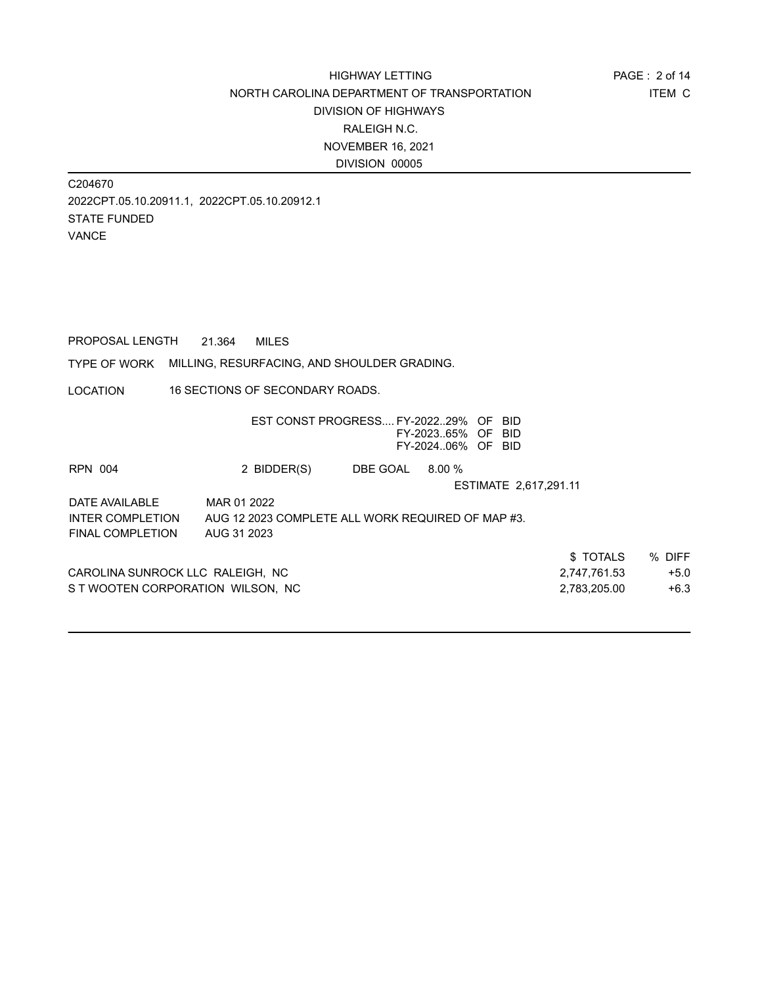C204670 2022CPT.05.10.20911.1, 2022CPT.05.10.20912.1 STATE FUNDED VANCE

PROPOSAL LENGTH 21.364 MILES

TYPE OF WORK MILLING, RESURFACING, AND SHOULDER GRADING.

LOCATION 16 SECTIONS OF SECONDARY ROADS.

|                                   |                                                   | EST CONST PROGRESS FY-202229% OF | FY-202365% OF BID<br>FY-202406% OF BID | -BID.                 |              |        |
|-----------------------------------|---------------------------------------------------|----------------------------------|----------------------------------------|-----------------------|--------------|--------|
| <b>RPN 004</b>                    | 2 BIDDER(S)                                       | DBE GOAL                         | 8.00%                                  |                       |              |        |
|                                   |                                                   |                                  |                                        | ESTIMATE 2,617,291.11 |              |        |
| DATE AVAILABLE                    | MAR 01 2022                                       |                                  |                                        |                       |              |        |
| <b>INTER COMPLETION</b>           | AUG 12 2023 COMPLETE ALL WORK REQUIRED OF MAP #3. |                                  |                                        |                       |              |        |
| <b>FINAL COMPLETION</b>           | AUG 31 2023                                       |                                  |                                        |                       |              |        |
|                                   |                                                   |                                  |                                        |                       | \$TOTALS     | % DIFF |
| CAROLINA SUNROCK LLC RALEIGH, NC  |                                                   |                                  |                                        |                       | 2,747,761.53 | $+5.0$ |
| S T WOOTEN CORPORATION WILSON. NC |                                                   |                                  |                                        |                       | 2.783.205.00 | $+6.3$ |
|                                   |                                                   |                                  |                                        |                       |              |        |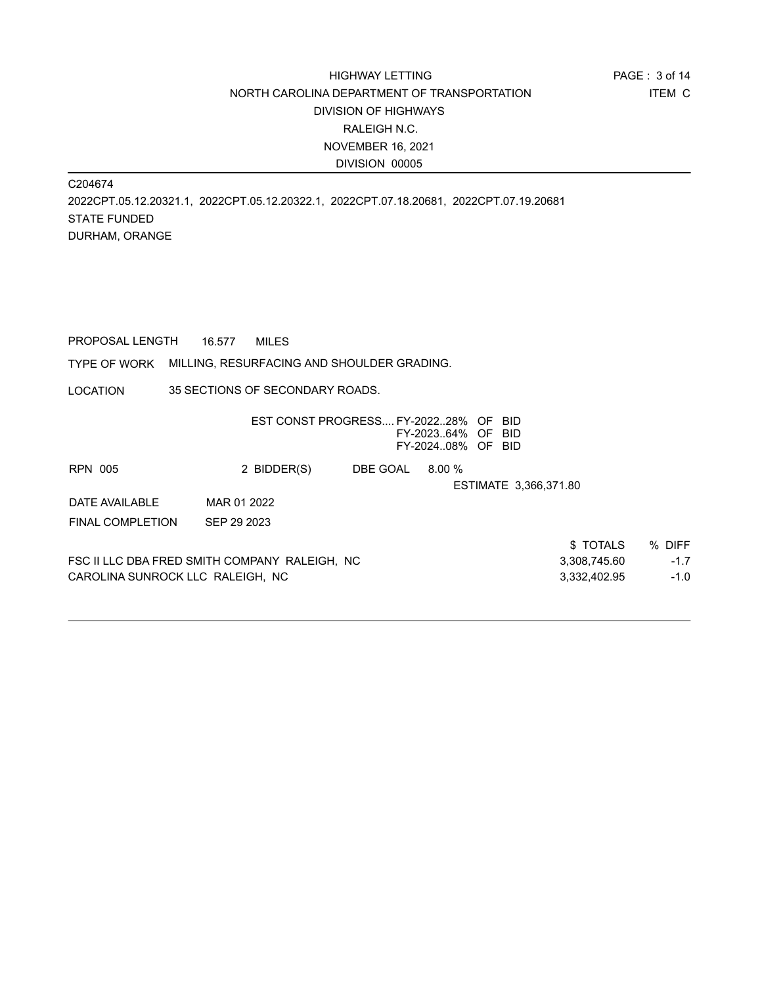C204674 2022CPT.05.12.20321.1, 2022CPT.05.12.20322.1, 2022CPT.07.18.20681, 2022CPT.07.19.20681 STATE FUNDED DURHAM, ORANGE

PROPOSAL LENGTH 16.577 MILES

TYPE OF WORK MILLING, RESURFACING AND SHOULDER GRADING.

LOCATION 35 SECTIONS OF SECONDARY ROADS.

| 2 BIDDER(S)                      | DBE GOAL | 8.00%                                         |              |                                                                                                         |
|----------------------------------|----------|-----------------------------------------------|--------------|---------------------------------------------------------------------------------------------------------|
|                                  |          |                                               |              |                                                                                                         |
| MAR 01 2022                      |          |                                               |              |                                                                                                         |
| SEP 29 2023                      |          |                                               |              |                                                                                                         |
|                                  |          |                                               | \$TOTALS     | % DIFF                                                                                                  |
|                                  |          |                                               | 3,308,745.60 | $-1.7$                                                                                                  |
| CAROLINA SUNROCK LLC RALEIGH, NC |          |                                               | 3,332,402.95 | $-1.0$                                                                                                  |
|                                  |          | FSC II LLC DBA FRED SMITH COMPANY RALEIGH, NC |              | EST CONST PROGRESS FY-202228% OF BID<br>FY-202364% OF BID<br>FY-202408% OF BID<br>ESTIMATE 3,366,371.80 |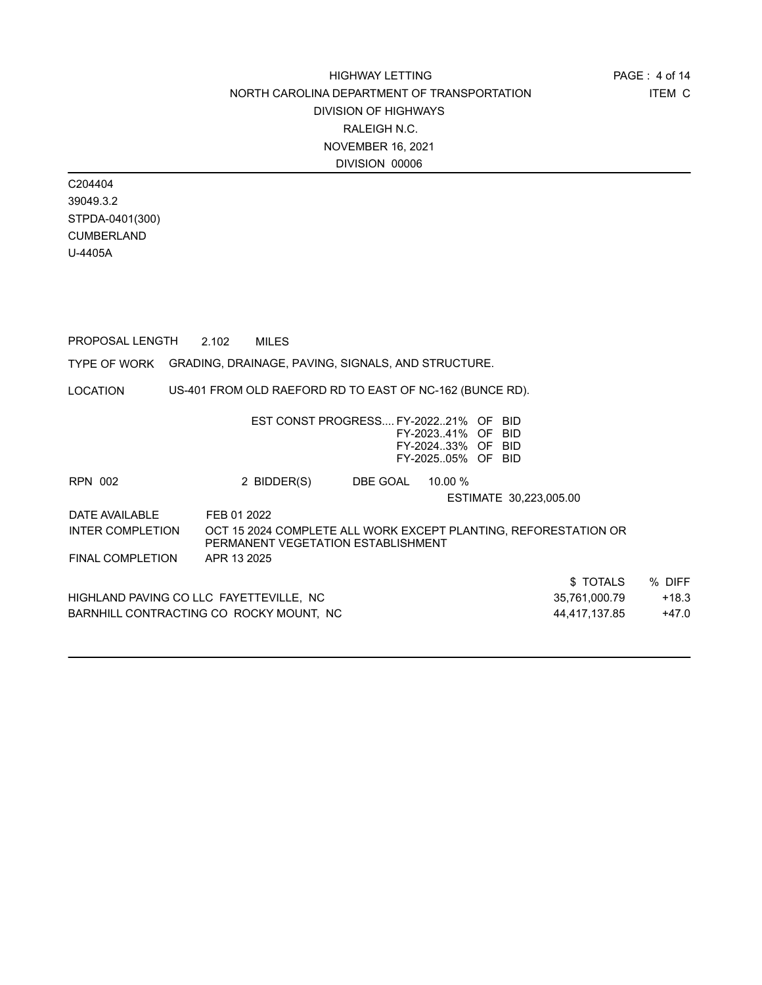C204404 39049.3.2 STPDA-0401(300) CUMBERLAND U-4405A

LOCATION TYPE OF WORK GRADING, DRAINAGE, PAVING, SIGNALS, AND STRUCTURE. PROPOSAL LENGTH 2.102 MILES US-401 FROM OLD RAEFORD RD TO EAST OF NC-162 (BUNCE RD). EST CONST PROGRESS.... FY-2022..21% OF BID FY-2023..41% OF BID FY-2024..33% OF BID FY-2025..05% OF BID RPN 002 2 BIDDER(S) DBE GOAL 10.00 % ESTIMATE 30,223,005.00 DATE AVAILABLE FEB 01 2022 \$ TOTALS % DIFF HIGHLAND PAVING CO LLC FAYETTEVILLE, NC  $35,761,000.79$  +18.3 BARNHILL CONTRACTING CO ROCKY MOUNT, NC  $44.417,137.85$   $+47.0$ INTER COMPLETION OCT 15 2024 COMPLETE ALL WORK EXCEPT PLANTING, REFORESTATION OR PERMANENT VEGETATION ESTABLISHMENT FINAL COMPLETION APR 13 2025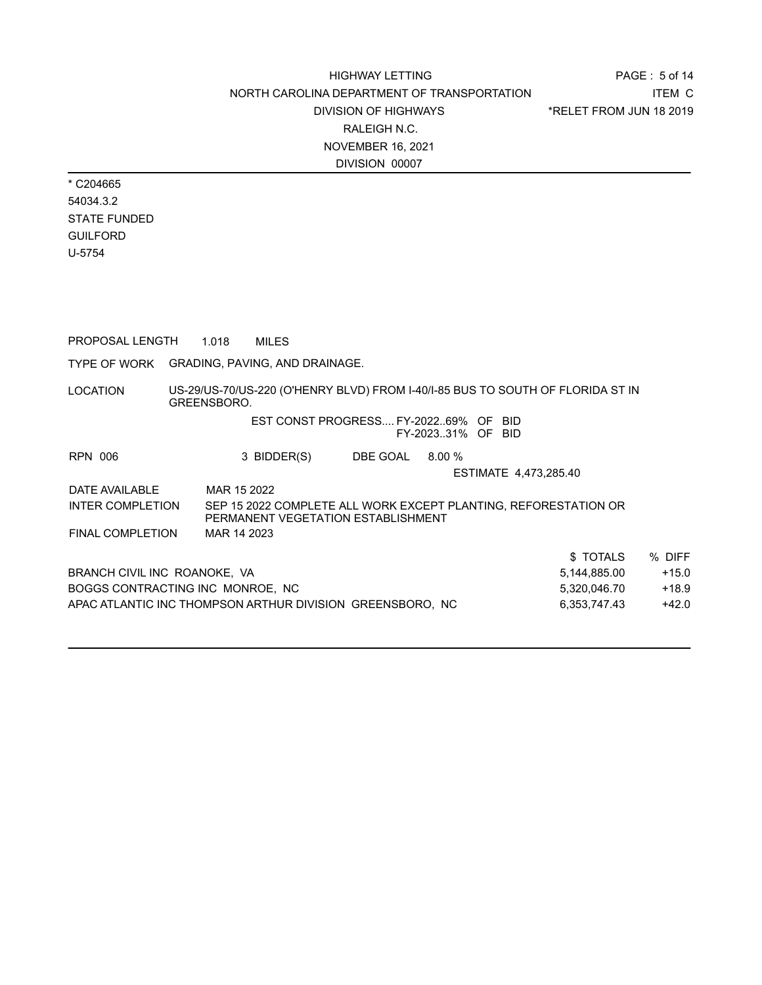PAGE : 5 of 14 ITEM C \*RELET FROM JUN 18 2019

\* C204665 54034.3.2 STATE FUNDED GUILFORD U-5754

PROPOSAL LENGTH 1.018 MILES

TYPE OF WORK GRADING, PAVING, AND DRAINAGE.

LOCATION US-29/US-70/US-220 (O'HENRY BLVD) FROM I-40/I-85 BUS TO SOUTH OF FLORIDA ST IN GREENSBORO.

#### EST CONST PROGRESS.... FY-2022..69% OF BID FY-2023..31% OF BID

RPN 006 3 BIDDER(S) DBE GOAL 8.00 % ESTIMATE 4,473,285.40 DATE AVAILABLE MAR 15 2022 \$ TOTALS % DIFF BRANCH CIVIL INC ROANOKE, VA 5,144,885.00 +15.0 INTER COMPLETION SEP 15 2022 COMPLETE ALL WORK EXCEPT PLANTING, REFORESTATION OR PERMANENT VEGETATION ESTABLISHMENT FINAL COMPLETION MAR 14 2023

BOGGS CONTRACTING INC MONROE, NC 6,320,046.70 +18.9 APAC ATLANTIC INC THOMPSON ARTHUR DIVISION GREENSBORO, NC 6,353,747.43 +42.0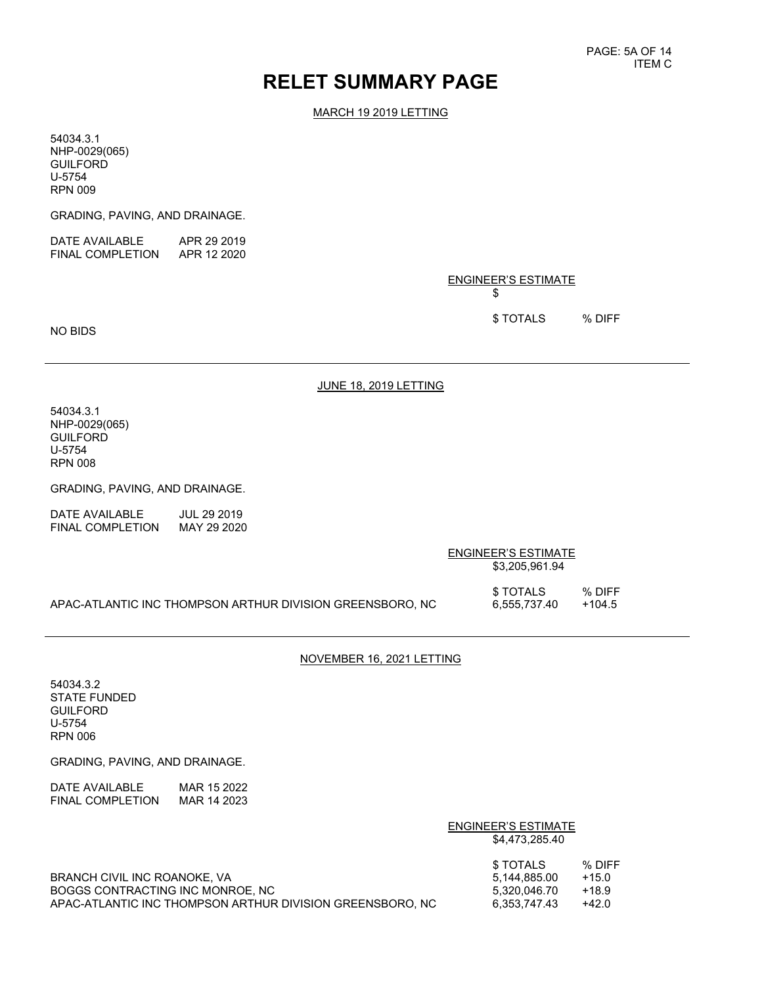# **RELET SUMMARY PAGE**

MARCH 19 2019 LETTING

54034.3.1 NHP-0029(065) **GUILFORD** U-5754 RPN 009

GRADING, PAVING, AND DRAINAGE.

| DATE AVAILABLE          | APR 29 2019 |
|-------------------------|-------------|
| <b>FINAL COMPLETION</b> | APR 12 2020 |

ENGINEER'S ESTIMATE \$

\$ TOTALS % DIFF

NO BIDS

JUNE 18, 2019 LETTING

54034.3.1 NHP-0029(065) **GUILFORD** U-5754 RPN 008

GRADING, PAVING, AND DRAINAGE.

DATE AVAILABLE JUL 29 2019<br>FINAL COMPLETION MAY 29 2020 FINAL COMPLETION

|                                                           | ENGINEER'S ESTIMATE<br>\$3,205,961.94 |                    |
|-----------------------------------------------------------|---------------------------------------|--------------------|
| APAC-ATLANTIC INC THOMPSON ARTHUR DIVISION GREENSBORO. NC | \$ TOTALS<br>6.555.737.40             | % DIFF<br>$+104.5$ |

#### NOVEMBER 16, 2021 LETTING

54034.3.2 STATE FUNDED GUILFORD U-5754 RPN 006

GRADING, PAVING, AND DRAINAGE.

| DATE AVAILABLE   | MAR 15 2022 |
|------------------|-------------|
| FINAL COMPLETION | MAR 14 2023 |

|                                                                                                                               | ENGINEER'S ESTIMATE<br>\$4.473.285.40                                                                |
|-------------------------------------------------------------------------------------------------------------------------------|------------------------------------------------------------------------------------------------------|
| BRANCH CIVIL INC ROANOKE, VA<br>BOGGS CONTRACTING INC MONROE, NC<br>APAC-ATLANTIC INC THOMPSON ARTHUR DIVISION GREENSBORO. NC | % DIFF<br>\$ TOTALS<br>$+15.0$<br>5.144.885.00<br>$+18.9$<br>5.320.046.70<br>$+42.0$<br>6.353.747.43 |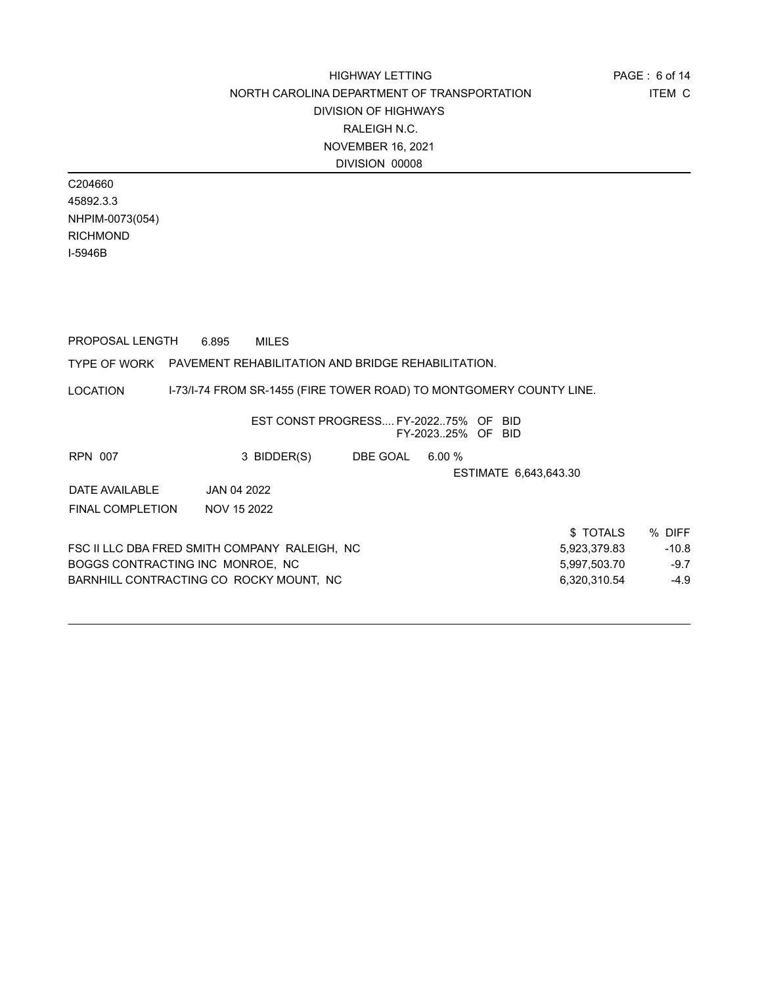C204660 45892.3.3 NHPIM-0073(054) RICHMOND I-5946B

PROPOSAL LENGTH 6.895 MILES

#### TYPE OF WORK PAVEMENT REHABILITATION AND BRIDGE REHABILITATION.

LOCATION I-73/I-74 FROM SR-1455 (FIRE TOWER ROAD) TO MONTGOMERY COUNTY LINE.

| 3 BIDDER(S)                      | DBE GOAL | 6.00%                                                                                    |                                                           |                       |
|----------------------------------|----------|------------------------------------------------------------------------------------------|-----------------------------------------------------------|-----------------------|
|                                  |          |                                                                                          |                                                           |                       |
| JAN 04 2022                      |          |                                                                                          |                                                           |                       |
| NOV 15 2022                      |          |                                                                                          |                                                           |                       |
|                                  |          |                                                                                          | \$TOTALS                                                  | % DIFF                |
|                                  |          |                                                                                          | 5,923,379.83                                              | $-10.8$               |
| BOGGS CONTRACTING INC MONROE, NC |          |                                                                                          | 5,997,503.70                                              | $-9.7$                |
|                                  |          |                                                                                          | 6,320,310.54                                              | $-4.9$                |
|                                  |          | FSC II LLC DBA FRED SMITH COMPANY RALEIGH, NC<br>BARNHILL CONTRACTING CO ROCKY MOUNT, NC | EST CONST PROGRESS FY-202275% OF BID<br>FY-202325% OF BID | ESTIMATE 6.643.643.30 |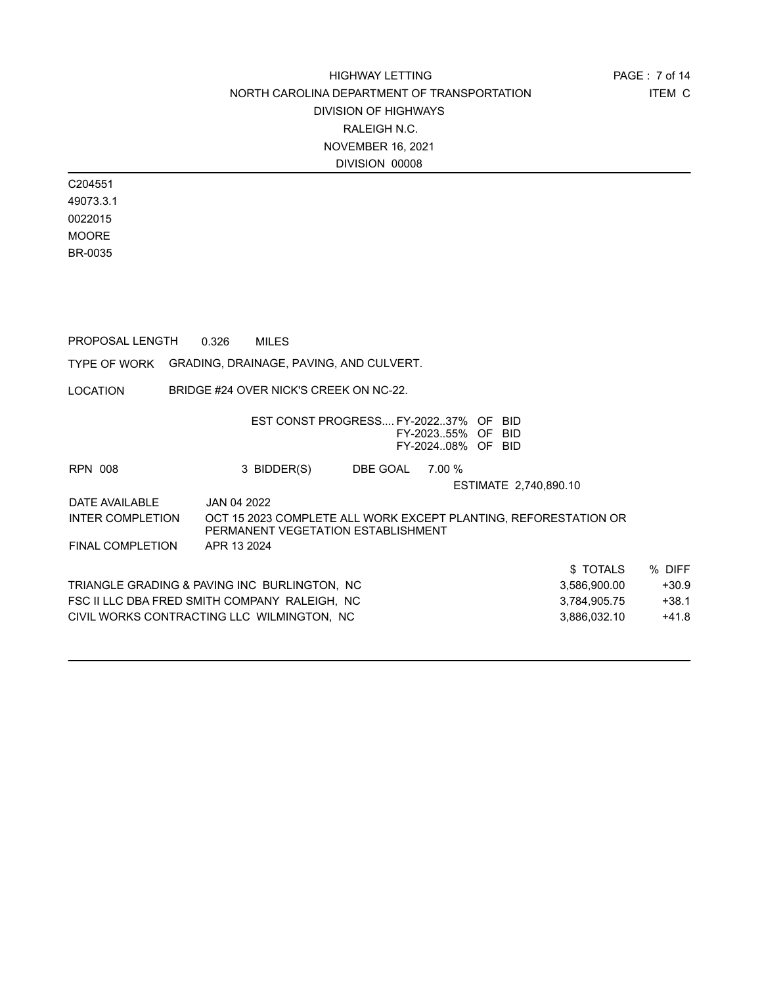C204551 49073.3.1 0022015 MOORE BR-0035

PROPOSAL LENGTH 0.326 MILES

TYPE OF WORK GRADING, DRAINAGE, PAVING, AND CULVERT.

LOCATION BRIDGE #24 OVER NICK'S CREEK ON NC-22.

|                         | EST CONST PROGRESS FY-202237% OF BID          |          | FY-202355% OF BID<br>FY-202408% OF BID |                                                                 |         |
|-------------------------|-----------------------------------------------|----------|----------------------------------------|-----------------------------------------------------------------|---------|
| <b>RPN 008</b>          | 3 BIDDER(S)                                   | DBE GOAL | 7.00 %                                 |                                                                 |         |
|                         |                                               |          |                                        | ESTIMATE 2.740.890.10                                           |         |
| DATE AVAILABLE          | JAN 04 2022                                   |          |                                        |                                                                 |         |
| <b>INTER COMPLETION</b> | PERMANENT VEGETATION ESTABLISHMENT            |          |                                        | OCT 15 2023 COMPLETE ALL WORK EXCEPT PLANTING, REFORESTATION OR |         |
| <b>FINAL COMPLETION</b> | APR 13 2024                                   |          |                                        |                                                                 |         |
|                         |                                               |          |                                        | \$TOTALS                                                        | % DIFF  |
|                         | TRIANGLE GRADING & PAVING INC BURLINGTON, NC  |          |                                        | 3,586,900.00                                                    | $+30.9$ |
|                         | FSC II LLC DBA FRED SMITH COMPANY RALEIGH, NC |          |                                        | 3,784,905.75                                                    | $+38.1$ |
|                         | CIVIL WORKS CONTRACTING LLC WILMINGTON, NC    |          |                                        | 3,886,032.10                                                    | $+41.8$ |
|                         |                                               |          |                                        |                                                                 |         |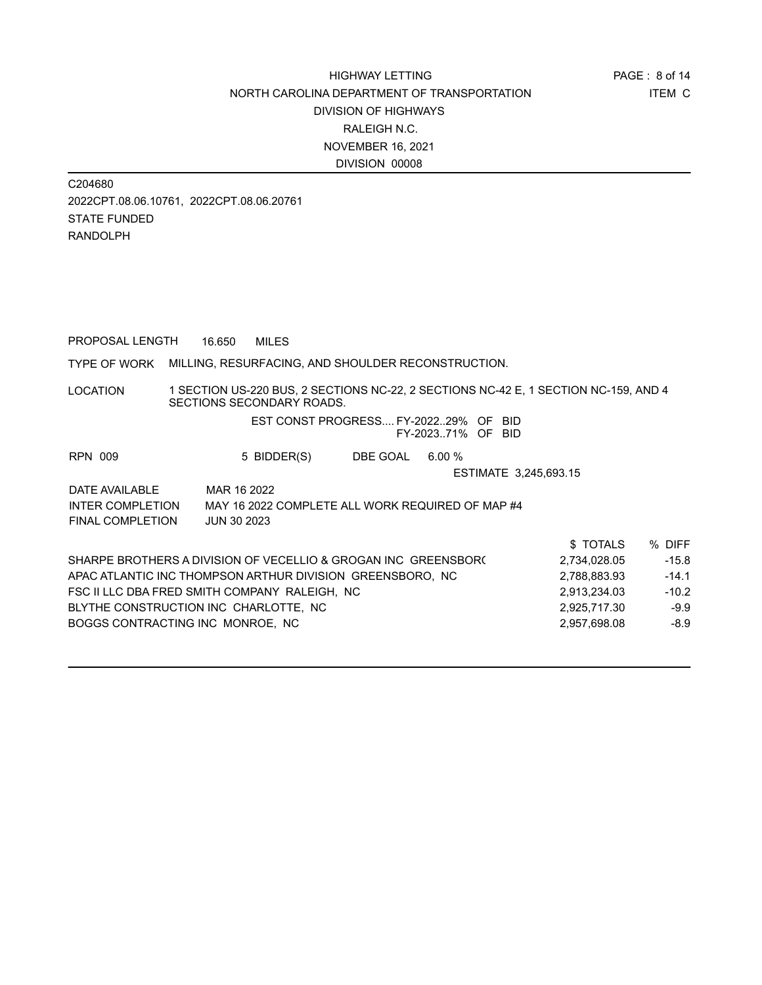C204680 2022CPT.08.06.10761, 2022CPT.08.06.20761 STATE FUNDED RANDOLPH

PROPOSAL LENGTH 16.650 MILES

#### TYPE OF WORK MILLING, RESURFACING, AND SHOULDER RECONSTRUCTION.

LOCATION 1 SECTION US-220 BUS, 2 SECTIONS NC-22, 2 SECTIONS NC-42 E, 1 SECTION NC-159, AND 4 SECTIONS SECONDARY ROADS.

#### EST CONST PROGRESS.... FY-2022..29% OF BID FY-2023..71% OF BID

| <b>RPN 009</b>          | 5 BIDDER(S)                                                    | DBE GOAL | $6.00 \%$             |              |         |
|-------------------------|----------------------------------------------------------------|----------|-----------------------|--------------|---------|
|                         |                                                                |          | ESTIMATE 3,245,693.15 |              |         |
| DATE AVAILABLE          | MAR 16 2022                                                    |          |                       |              |         |
| <b>INTER COMPLETION</b> | MAY 16 2022 COMPLETE ALL WORK REQUIRED OF MAP #4               |          |                       |              |         |
| FINAL COMPLETION        | <b>JUN 30 2023</b>                                             |          |                       |              |         |
|                         |                                                                |          |                       | \$TOTALS     | % DIFF  |
|                         | SHARPE BROTHERS A DIVISION OF VECELLIO & GROGAN INC GREENSBOR( |          |                       | 2,734,028.05 | $-15.8$ |
|                         | APAC ATI ANTIC INC THOMPSON ARTHUR DIVISION, GREENSRORO, NC.   |          |                       | 2 788 883 93 | $-14.1$ |

| ONAN'T E DNUTHENO A DIVIOIUI UF VEUELLIU & UNUUAII IIIU. UNEEIIODUNI | 2.734.020.00 | -10.0   |
|----------------------------------------------------------------------|--------------|---------|
| APAC ATLANTIC INC THOMPSON ARTHUR DIVISION GREENSBORO. NC            | 2.788.883.93 | $-14.1$ |
| FSC II LLC DBA FRED SMITH COMPANY RALEIGH. NC                        | 2.913.234.03 | $-10.2$ |
| BLYTHE CONSTRUCTION INC CHARLOTTE. NC                                | 2.925.717.30 | $-9.9$  |
| BOGGS CONTRACTING INC MONROE. NC                                     | 2.957.698.08 | $-8.9$  |
|                                                                      |              |         |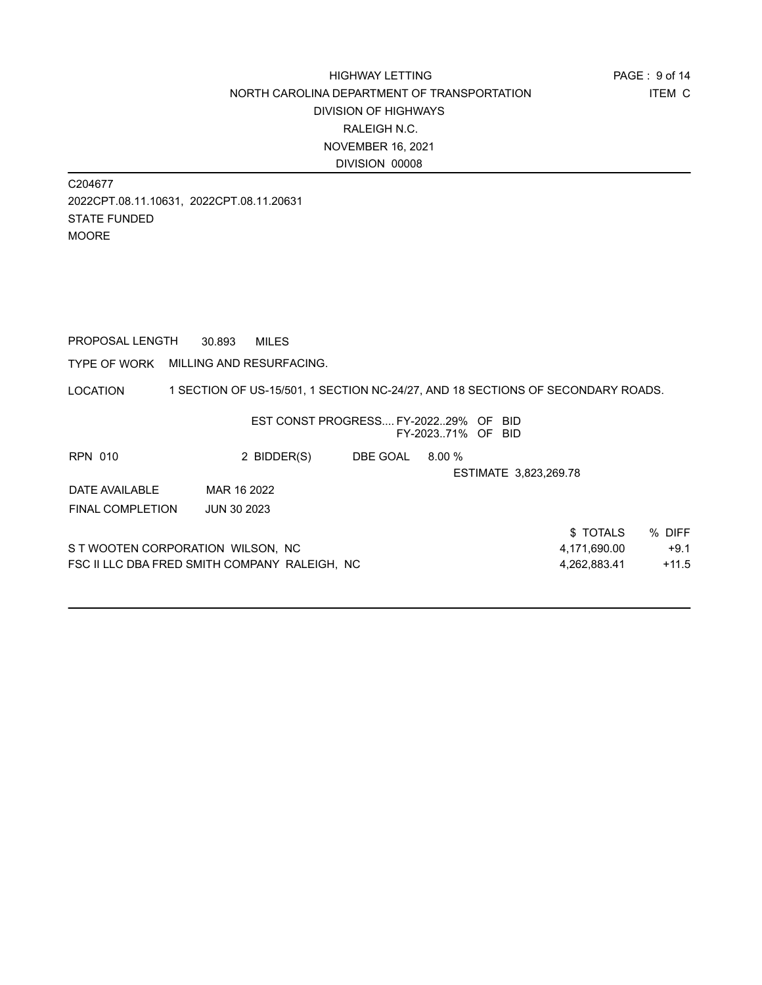C204677 2022CPT.08.11.10631, 2022CPT.08.11.20631 STATE FUNDED MOORE

PROPOSAL LENGTH 30.893 MILES

TYPE OF WORK MILLING AND RESURFACING.

LOCATION 1 SECTION OF US-15/501, 1 SECTION NC-24/27, AND 18 SECTIONS OF SECONDARY ROADS.

|                                   | EST CONST PROGRESS FY-202229% OF BID          |          | FY-202371% OF BID |                       |         |
|-----------------------------------|-----------------------------------------------|----------|-------------------|-----------------------|---------|
| <b>RPN 010</b>                    | 2 BIDDER(S)                                   | DBE GOAL | $8.00\%$          |                       |         |
|                                   |                                               |          |                   | ESTIMATE 3,823,269.78 |         |
| DATE AVAILABLE                    | MAR 16 2022                                   |          |                   |                       |         |
| <b>FINAL COMPLETION</b>           | <b>JUN 30 2023</b>                            |          |                   |                       |         |
|                                   |                                               |          |                   | \$TOTALS              | % DIFF  |
| S T WOOTEN CORPORATION WILSON, NC |                                               |          |                   | 4,171,690.00          | $+9.1$  |
|                                   | FSC II LLC DBA FRED SMITH COMPANY RALEIGH, NC |          |                   | 4,262,883.41          | $+11.5$ |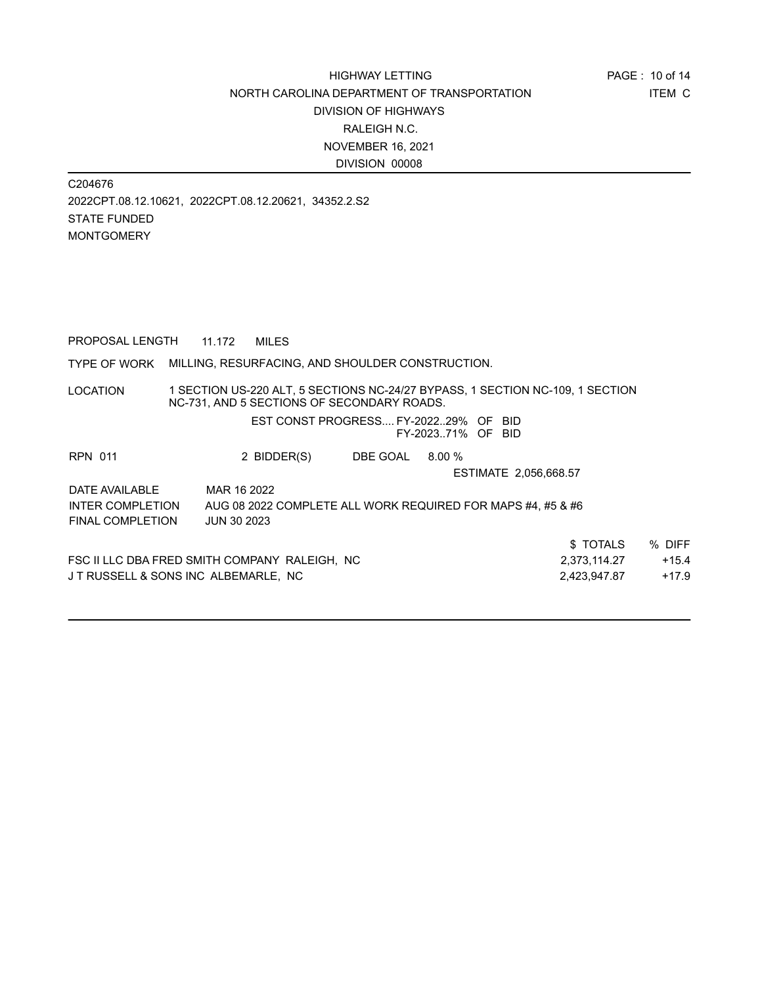C204676 2022CPT.08.12.10621, 2022CPT.08.12.20621, 34352.2.S2 STATE FUNDED MONTGOMERY

PROPOSAL LENGTH 11.172 MILES

#### TYPE OF WORK MILLING, RESURFACING, AND SHOULDER CONSTRUCTION.

LOCATION 1 SECTION US-220 ALT, 5 SECTIONS NC-24/27 BYPASS, 1 SECTION NC-109, 1 SECTION NC-731, AND 5 SECTIONS OF SECONDARY ROADS.

> EST CONST PROGRESS.... FY-2022..29% OF BID FY-2023..71% OF BID

| <b>RPN 011</b>                      | 2 BIDDER(S)                                                 | DBE GOAL | $8.00\%$ |                       |         |
|-------------------------------------|-------------------------------------------------------------|----------|----------|-----------------------|---------|
|                                     |                                                             |          |          | ESTIMATE 2,056,668.57 |         |
| DATE AVAILABLE                      | MAR 16 2022                                                 |          |          |                       |         |
| <b>INTER COMPLETION</b>             | AUG 08 2022 COMPLETE ALL WORK REQUIRED FOR MAPS #4, #5 & #6 |          |          |                       |         |
| <b>FINAL COMPLETION</b>             | <b>JUN 30 2023</b>                                          |          |          |                       |         |
|                                     |                                                             |          |          | \$TOTALS              | % DIFF  |
|                                     | FSC II LLC DBA FRED SMITH COMPANY RALEIGH, NC               |          |          | 2.373.114.27          | $+15.4$ |
| JT RUSSELL & SONS INC ALBEMARLE. NC |                                                             |          |          | 2,423,947.87          | $+17.9$ |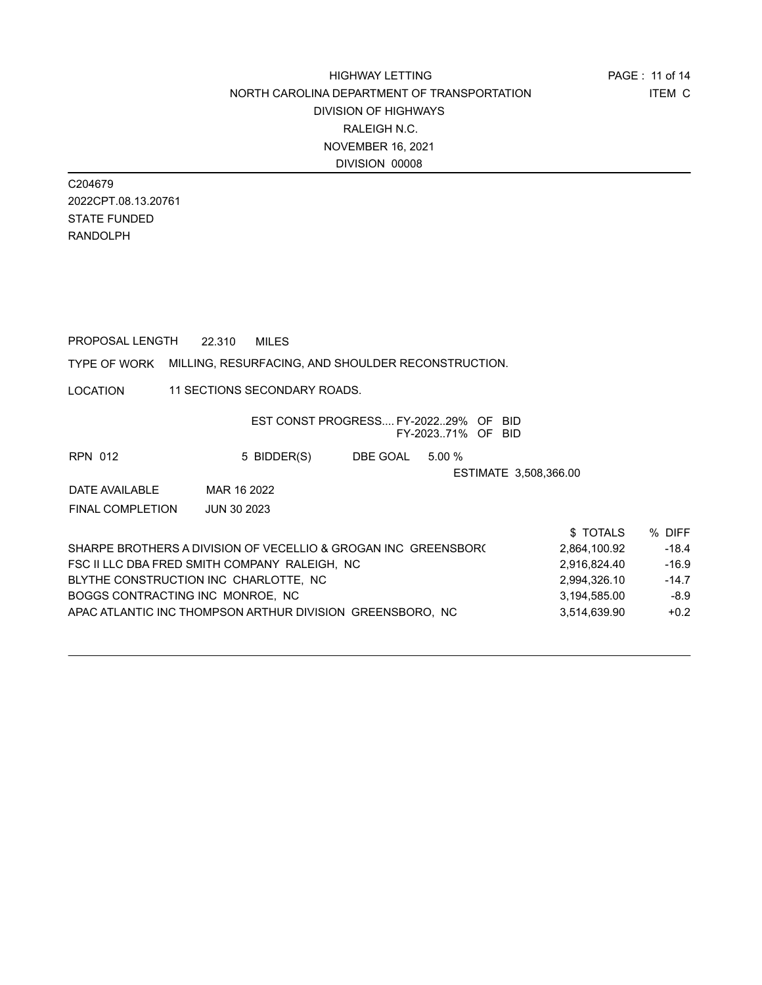C204679 2022CPT.08.13.20761 STATE FUNDED RANDOLPH

PROPOSAL LENGTH 22.310 MILES

#### TYPE OF WORK MILLING, RESURFACING, AND SHOULDER RECONSTRUCTION.

LOCATION 11 SECTIONS SECONDARY ROADS.

| EST CONST PROGRESS FY-202229% OF<br>-BID.<br>FY-202371% OF BID                 |                    |
|--------------------------------------------------------------------------------|--------------------|
| 5 BIDDER(S)<br>DBE GOAL<br>5.00%<br>RPN 012                                    |                    |
| ESTIMATE 3,508,366.00                                                          |                    |
| MAR 16 2022<br>DATE AVAILABLE                                                  |                    |
| <b>FINAL COMPLETION</b><br><b>JUN 30 2023</b>                                  |                    |
|                                                                                | \$TOTALS<br>% DIFF |
| SHARPE BROTHERS A DIVISION OF VECELLIO & GROGAN INC GREENSBORG<br>2.864.100.92 | $-18.4$            |
| FSC II LLC DBA FRED SMITH COMPANY RALEIGH, NC<br>2,916,824.40                  | $-16.9$            |
| BLYTHE CONSTRUCTION INC CHARLOTTE. NC<br>2.994.326.10                          | $-14.7$            |
| BOGGS CONTRACTING INC MONROE, NC<br>3,194,585.00                               | $-8.9$             |
| APAC ATLANTIC INC THOMPSON ARTHUR DIVISION GREENSBORO. NC<br>3,514,639.90      | $+0.2$             |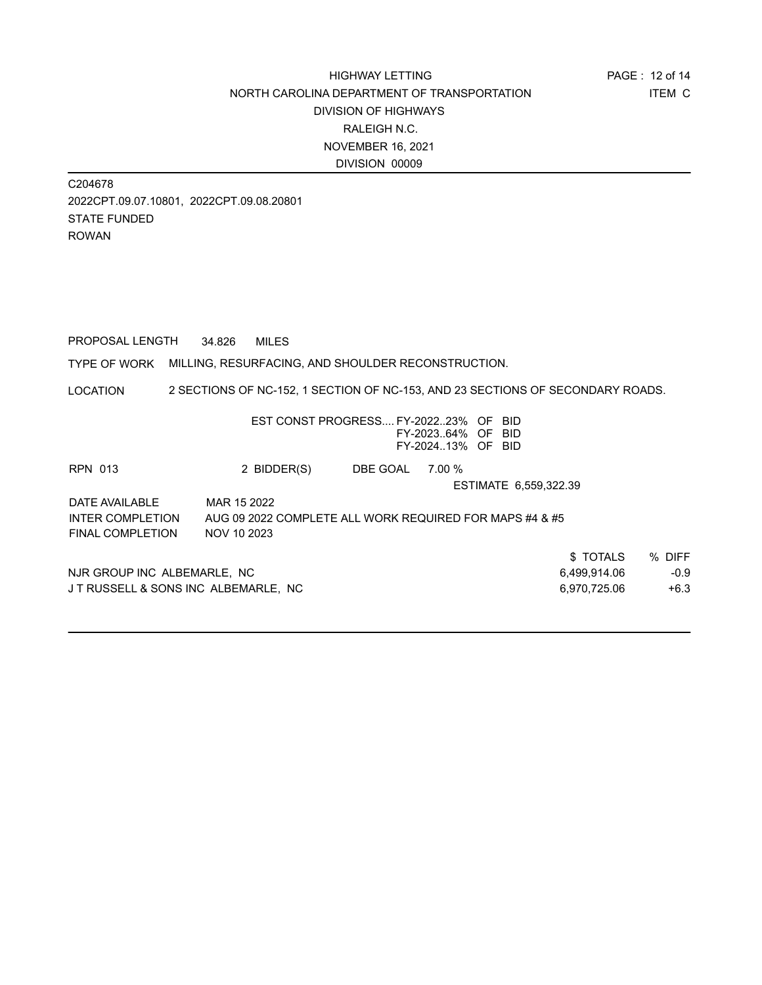C204678 2022CPT.09.07.10801, 2022CPT.09.08.20801 STATE FUNDED ROWAN

PROPOSAL LENGTH 34.826 MILES

TYPE OF WORK MILLING, RESURFACING, AND SHOULDER RECONSTRUCTION.

LOCATION 2 SECTIONS OF NC-152, 1 SECTION OF NC-153, AND 23 SECTIONS OF SECONDARY ROADS.

|                             |                                     |        | -BID<br>BID  |                                                                                                                                                            |
|-----------------------------|-------------------------------------|--------|--------------|------------------------------------------------------------------------------------------------------------------------------------------------------------|
| 2 BIDDER(S)                 | DBE GOAL                            | 7.00 % |              |                                                                                                                                                            |
|                             |                                     |        |              |                                                                                                                                                            |
| MAR 15 2022                 |                                     |        |              |                                                                                                                                                            |
|                             |                                     |        |              |                                                                                                                                                            |
| NOV 10 2023                 |                                     |        |              |                                                                                                                                                            |
|                             |                                     |        | \$TOTALS     | % DIFF                                                                                                                                                     |
| NJR GROUP INC ALBEMARLE, NC |                                     |        | 6,499,914.06 | $-0.9$                                                                                                                                                     |
|                             |                                     |        | 6.970.725.06 | $+6.3$                                                                                                                                                     |
|                             | JT RUSSELL & SONS INC ALBEMARLE, NC |        |              | EST CONST PROGRESS FY-202223% OF<br>FY-202364% OF<br>FY-202413% OF BID<br>ESTIMATE 6.559.322.39<br>AUG 09 2022 COMPLETE ALL WORK REQUIRED FOR MAPS #4 & #5 |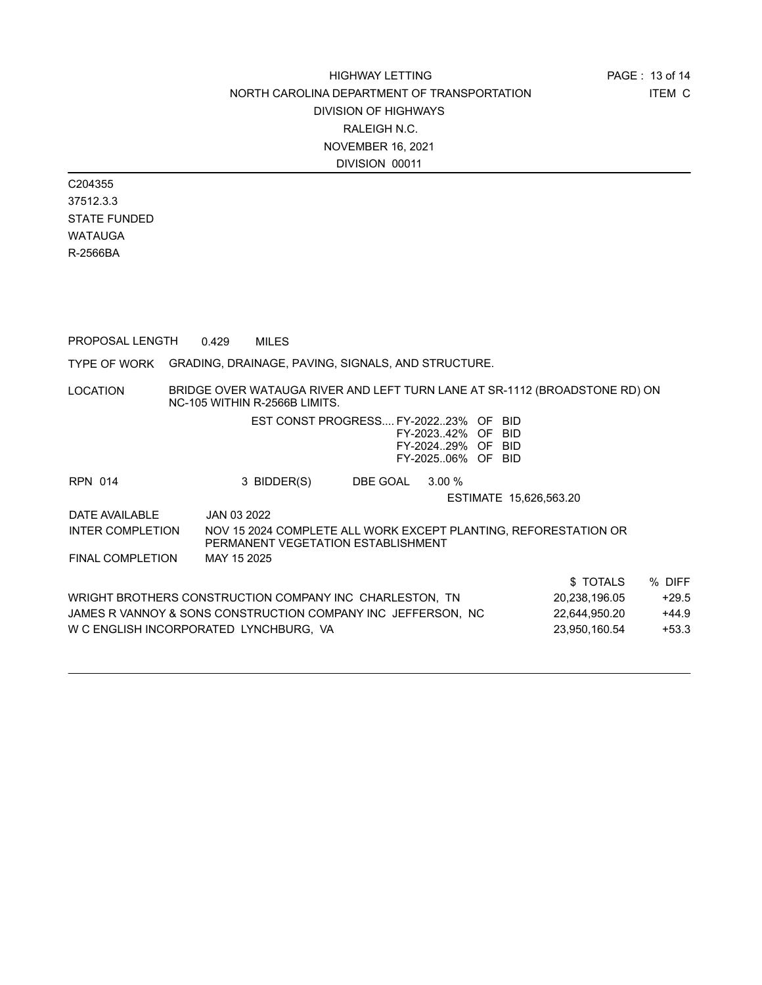C204355 37512.3.3 STATE FUNDED WATAUGA R-2566BA

PROPOSAL LENGTH 0.429 MILES

TYPE OF WORK GRADING, DRAINAGE, PAVING, SIGNALS, AND STRUCTURE.

LOCATION BRIDGE OVER WATAUGA RIVER AND LEFT TURN LANE AT SR-1112 (BROADSTONE RD) ON NC-105 WITHIN R-2566B LIMITS.

|                                                         | $N_{\rm U}$ - $N_{\rm U}$ will move $N_{\rm U}$ - $\lambda_{\rm U}$ order inviting.                   |          |                                                             |                        |               |         |
|---------------------------------------------------------|-------------------------------------------------------------------------------------------------------|----------|-------------------------------------------------------------|------------------------|---------------|---------|
|                                                         | EST CONST PROGRESS FY-202223% OF BID                                                                  |          | FY-202342% OF BID<br>FY-202429% OF BID<br>FY-202506% OF BID |                        |               |         |
| <b>RPN 014</b>                                          | 3 BIDDER(S)                                                                                           | DBE GOAL | 3.00%                                                       |                        |               |         |
|                                                         |                                                                                                       |          |                                                             | ESTIMATE 15,626,563.20 |               |         |
| DATE AVAILABLE                                          | JAN 03 2022                                                                                           |          |                                                             |                        |               |         |
| <b>INTER COMPLETION</b>                                 | NOV 15 2024 COMPLETE ALL WORK EXCEPT PLANTING. REFORESTATION OR<br>PERMANENT VEGETATION ESTABLISHMENT |          |                                                             |                        |               |         |
| <b>FINAL COMPLETION</b>                                 | MAY 15 2025                                                                                           |          |                                                             |                        |               |         |
|                                                         |                                                                                                       |          |                                                             |                        | \$TOTALS      | % DIFF  |
| WRIGHT BROTHERS CONSTRUCTION COMPANY INC CHARLESTON, TN |                                                                                                       |          |                                                             | 20,238,196.05          | $+29.5$       |         |
|                                                         | JAMES R VANNOY & SONS CONSTRUCTION COMPANY INC JEFFERSON, NC                                          |          |                                                             |                        | 22,644,950.20 | $+44.9$ |
|                                                         | W C ENGLISH INCORPORATED LYNCHBURG. VA                                                                |          |                                                             |                        | 23.950.160.54 | $+53.3$ |
|                                                         |                                                                                                       |          |                                                             |                        |               |         |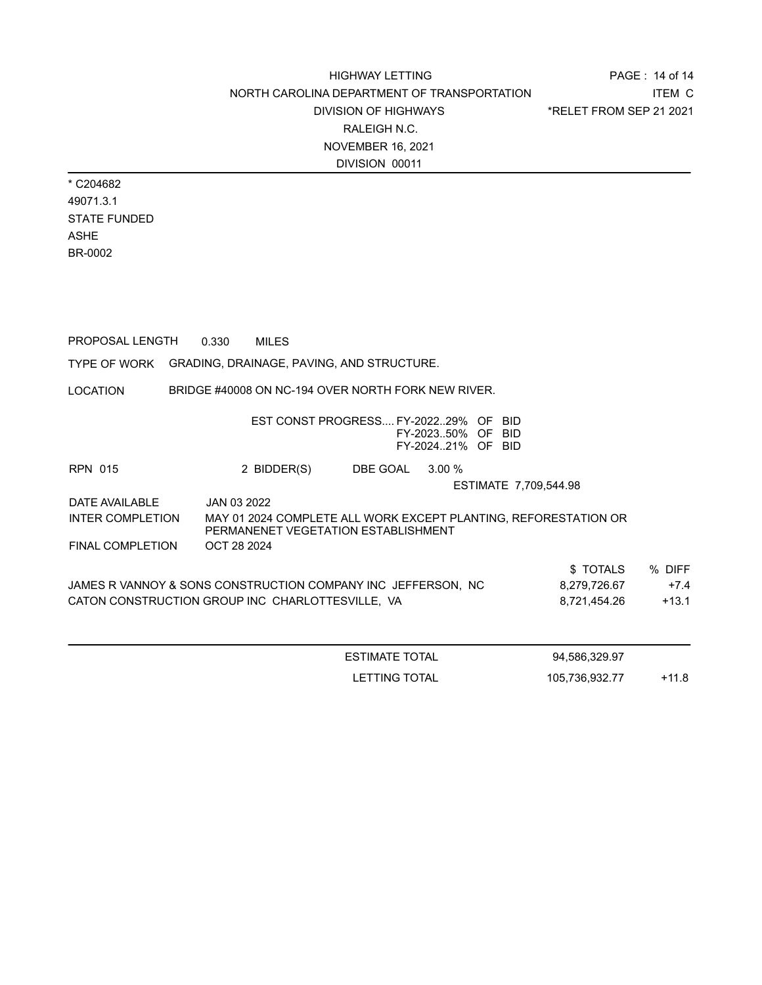PAGE : 14 of 14 ITEM C \*RELET FROM SEP 21 2021

\* C204682 49071.3.1 STATE FUNDED ASHE BR-0002

LOCATION TYPE OF WORK GRADING, DRAINAGE, PAVING, AND STRUCTURE. PROPOSAL LENGTH 0.330 MILES BRIDGE #40008 ON NC-194 OVER NORTH FORK NEW RIVER. EST CONST PROGRESS.... FY-2022..29% OF BID FY-2023..50% OF BID FY-2024..21% OF BID RPN 015 2 BIDDER(S) DBE GOAL 3.00 % ESTIMATE 7,709,544.98 DATE AVAILABLE JAN 03 2022 \$ TOTALS % DIFF JAMES R VANNOY & SONS CONSTRUCTION COMPANY INC JEFFERSON, NC 8,279,726.67 +7.4 CATON CONSTRUCTION GROUP INC CHARLOTTESVILLE, VA  $8,721,454.26 +13.1$ INTER COMPLETION MAY 01 2024 COMPLETE ALL WORK EXCEPT PLANTING, REFORESTATION OR PERMANENET VEGETATION ESTABLISHMENT FINAL COMPLETION OCT 28 2024 ESTIMATE TOTAL 94,586,329.97

LETTING TOTAL 105,736,932.77 +11.8